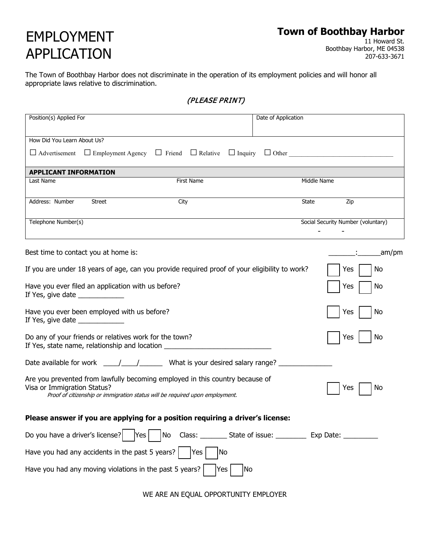## EMPLOYMENT APPLICATION

# **Town of Boothbay Harbor**<br>11 Howard St.

Boothbay Harbor, ME 04538 207-633-3671

The Town of Boothbay Harbor does not discriminate in the operation of its employment policies and will honor all appropriate laws relative to discrimination.

(PLEASE PRINT)

| Position(s) Applied For          |                                                                                             |                                                                                                                                                              | Date of Application                                                    |              |                                    |        |
|----------------------------------|---------------------------------------------------------------------------------------------|--------------------------------------------------------------------------------------------------------------------------------------------------------------|------------------------------------------------------------------------|--------------|------------------------------------|--------|
|                                  |                                                                                             |                                                                                                                                                              |                                                                        |              |                                    |        |
| How Did You Learn About Us?      |                                                                                             |                                                                                                                                                              |                                                                        |              |                                    |        |
|                                  |                                                                                             | $\Box$ Advertisement $\Box$ Employment Agency $\Box$ Friend $\Box$ Relative $\Box$ Inquiry $\Box$ Other                                                      |                                                                        |              |                                    |        |
| <b>APPLICANT INFORMATION</b>     |                                                                                             |                                                                                                                                                              |                                                                        |              |                                    |        |
| Last Name                        |                                                                                             | First Name                                                                                                                                                   |                                                                        | Middle Name  |                                    |        |
| Address: Number                  | <b>Street</b>                                                                               | City                                                                                                                                                         |                                                                        | <b>State</b> | Zip                                |        |
| Telephone Number(s)              |                                                                                             |                                                                                                                                                              |                                                                        |              | Social Security Number (voluntary) |        |
|                                  | Best time to contact you at home is:                                                        |                                                                                                                                                              |                                                                        |              |                                    | _am/pm |
|                                  |                                                                                             | If you are under 18 years of age, can you provide required proof of your eligibility to work?                                                                |                                                                        |              | No<br>Yes                          |        |
| If Yes, give date ______________ | Have you ever filed an application with us before?                                          |                                                                                                                                                              |                                                                        |              | Yes<br>No                          |        |
| If Yes, give date ______________ | Have you ever been employed with us before?                                                 |                                                                                                                                                              |                                                                        |              | Yes<br>No                          |        |
|                                  | Do any of your friends or relatives work for the town?                                      | If Yes, state name, relationship and location __________________________________                                                                             |                                                                        |              | No<br>Yes                          |        |
|                                  |                                                                                             |                                                                                                                                                              |                                                                        |              |                                    |        |
| Visa or Immigration Status?      |                                                                                             | Are you prevented from lawfully becoming employed in this country because of<br>Proof of citizenship or immigration status will be required upon employment. |                                                                        |              | No<br>Yes                          |        |
|                                  |                                                                                             | Please answer if you are applying for a position requiring a driver's license:                                                                               |                                                                        |              |                                    |        |
|                                  | Do you have a driver's license? $\begin{vmatrix} \text{Yes} \\ \text{Yes} \end{vmatrix}$ No |                                                                                                                                                              | Class: ___________ State of issue: ____________ Exp Date: ____________ |              |                                    |        |
|                                  | Have you had any accidents in the past 5 years? $\vert$                                     | No<br> Yes                                                                                                                                                   |                                                                        |              |                                    |        |
|                                  | Have you had any moving violations in the past 5 years? $ $                                 | Yes                                                                                                                                                          | No                                                                     |              |                                    |        |

WE ARE AN EQUAL OPPORTUNITY EMPLOYER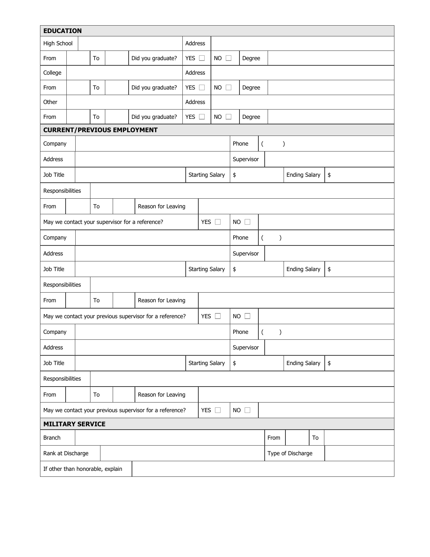| <b>EDUCATION</b>                                                          |                                                                           |  |                          |         |                                                 |               |                        |                        |                                            |                   |                  |               |                      |  |    |
|---------------------------------------------------------------------------|---------------------------------------------------------------------------|--|--------------------------|---------|-------------------------------------------------|---------------|------------------------|------------------------|--------------------------------------------|-------------------|------------------|---------------|----------------------|--|----|
| High School                                                               |                                                                           |  |                          | Address |                                                 |               |                        |                        |                                            |                   |                  |               |                      |  |    |
| From                                                                      |                                                                           |  | To                       |         | Did you graduate?                               | YES $\square$ |                        | $NO$ $\Box$            |                                            | Degree            |                  |               |                      |  |    |
| College                                                                   |                                                                           |  | Address                  |         |                                                 |               |                        |                        |                                            |                   |                  |               |                      |  |    |
| From                                                                      |                                                                           |  | To                       |         | Did you graduate?                               | YES $\square$ |                        | <b>NO</b><br>$\perp$   |                                            | Degree            |                  |               |                      |  |    |
| Other                                                                     |                                                                           |  |                          |         |                                                 | Address       |                        |                        |                                            |                   |                  |               |                      |  |    |
| From                                                                      |                                                                           |  | To                       |         | Did you graduate?                               | YES $\square$ |                        | <b>NO</b><br>ĒΤ        |                                            | Degree            |                  |               |                      |  |    |
| <b>CURRENT/PREVIOUS EMPLOYMENT</b>                                        |                                                                           |  |                          |         |                                                 |               |                        |                        |                                            |                   |                  |               |                      |  |    |
| Company                                                                   |                                                                           |  |                          |         |                                                 |               |                        |                        | Phone                                      |                   | $\overline{(\ }$ | $\mathcal{C}$ |                      |  |    |
| Address                                                                   |                                                                           |  |                          |         |                                                 |               |                        |                        |                                            | Supervisor        |                  |               |                      |  |    |
| Job Title                                                                 |                                                                           |  |                          |         |                                                 |               |                        | <b>Starting Salary</b> | \$                                         |                   |                  |               | <b>Ending Salary</b> |  | \$ |
| Responsibilities                                                          |                                                                           |  |                          |         |                                                 |               |                        |                        |                                            |                   |                  |               |                      |  |    |
| From                                                                      |                                                                           |  | To                       |         | Reason for Leaving                              |               |                        |                        |                                            |                   |                  |               |                      |  |    |
|                                                                           |                                                                           |  |                          |         | May we contact your supervisor for a reference? |               | YES $\square$          |                        | $NO$ $\square$                             |                   |                  |               |                      |  |    |
| Company                                                                   |                                                                           |  |                          |         |                                                 |               |                        |                        | $\overline{(\ }$<br>Phone<br>$\mathcal{E}$ |                   |                  |               |                      |  |    |
| Address                                                                   |                                                                           |  |                          |         |                                                 |               |                        | Supervisor             |                                            |                   |                  |               |                      |  |    |
| Job Title                                                                 |                                                                           |  |                          |         |                                                 |               | <b>Starting Salary</b> | \$                     | <b>Ending Salary</b><br>\$                 |                   |                  |               |                      |  |    |
| Responsibilities                                                          |                                                                           |  |                          |         |                                                 |               |                        |                        |                                            |                   |                  |               |                      |  |    |
| From                                                                      |                                                                           |  | Reason for Leaving<br>To |         |                                                 |               |                        |                        |                                            |                   |                  |               |                      |  |    |
|                                                                           | YES $\square$<br>May we contact your previous supervisor for a reference? |  |                          |         |                                                 |               | $NO$ $\square$         |                        |                                            |                   |                  |               |                      |  |    |
| Company                                                                   |                                                                           |  |                          |         |                                                 |               |                        | Phone                  |                                            | (                 | $\mathcal{E}$    |               |                      |  |    |
| Address                                                                   |                                                                           |  |                          |         |                                                 |               |                        | Supervisor             |                                            |                   |                  |               |                      |  |    |
| Job Title                                                                 |                                                                           |  |                          |         |                                                 |               | <b>Starting Salary</b> | \$                     | <b>Ending Salary</b><br>$\pmb{\$}$         |                   |                  |               |                      |  |    |
| Responsibilities                                                          |                                                                           |  |                          |         |                                                 |               |                        |                        |                                            |                   |                  |               |                      |  |    |
| From                                                                      |                                                                           |  | To                       |         | Reason for Leaving                              |               |                        |                        |                                            |                   |                  |               |                      |  |    |
| YES $\square$<br>May we contact your previous supervisor for a reference? |                                                                           |  |                          |         | $NO$ $\square$                                  |               |                        |                        |                                            |                   |                  |               |                      |  |    |
| <b>MILITARY SERVICE</b>                                                   |                                                                           |  |                          |         |                                                 |               |                        |                        |                                            |                   |                  |               |                      |  |    |
| <b>Branch</b>                                                             |                                                                           |  |                          |         |                                                 |               |                        |                        |                                            | From              |                  | To            |                      |  |    |
|                                                                           | Rank at Discharge                                                         |  |                          |         |                                                 |               |                        |                        |                                            | Type of Discharge |                  |               |                      |  |    |
| If other than honorable, explain                                          |                                                                           |  |                          |         |                                                 |               |                        |                        |                                            |                   |                  |               |                      |  |    |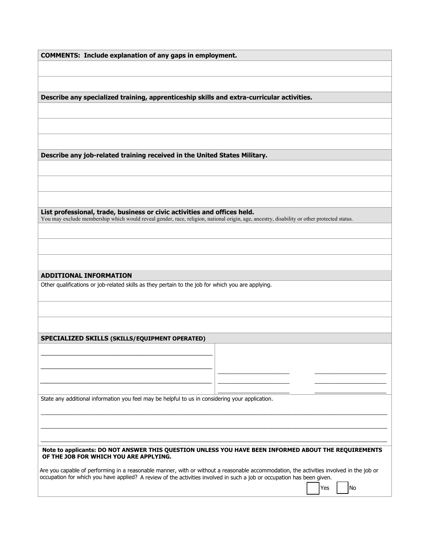|  |  |  |  |  | <b>COMMENTS: Include explanation of any gaps in employment.</b> |
|--|--|--|--|--|-----------------------------------------------------------------|
|--|--|--|--|--|-----------------------------------------------------------------|

**Describe any specialized training, apprenticeship skills and extra-curricular activities.**

**Describe any job-related training received in the United States Military.**

**List professional, trade, business or civic activities and offices held.** You may exclude membership which would reveal gender, race, religion, national origin, age, ancestry, disability or other protected status.

#### **ADDITIONAL INFORMATION**

Other qualifications or job-related skills as they pertain to the job for which you are applying.

#### **SPECIALIZED SKILLS (SKILLS/EQUIPMENT OPERATED)**

\_\_\_\_\_\_\_\_\_\_\_\_\_\_\_\_\_\_\_\_\_\_\_\_\_\_\_\_\_\_\_\_\_\_\_\_\_\_\_\_\_\_\_\_\_\_\_\_\_\_ \_\_\_\_\_\_\_\_\_\_\_\_\_\_\_\_\_\_\_\_\_\_\_\_\_\_\_\_\_\_\_\_\_\_\_\_\_\_\_\_\_\_\_\_\_\_\_\_\_\_

\_\_\_\_\_\_\_\_\_\_\_\_\_\_\_\_\_\_\_\_\_\_\_\_\_\_\_\_\_\_\_\_\_\_\_\_\_\_\_\_\_\_\_\_\_\_\_\_\_\_

State any additional information you feel may be helpful to us in considering your application.

#### **Note to applicants: DO NOT ANSWER THIS QUESTION UNLESS YOU HAVE BEEN INFORMED ABOUT THE REQUIREMENTS OF THE JOB FOR WHICH YOU ARE APPLYING.**

\_\_\_\_\_\_\_\_\_\_\_\_\_\_\_\_\_\_\_\_\_\_\_\_\_\_\_\_\_\_\_\_\_\_\_\_\_\_\_\_\_\_\_\_\_\_\_\_\_\_\_\_\_\_\_\_\_\_\_\_\_\_\_\_\_\_\_\_\_\_\_\_\_\_\_\_\_\_\_\_\_\_\_\_\_\_\_\_\_\_\_\_\_\_\_\_\_\_\_\_\_\_\_\_\_\_\_\_\_\_\_\_\_ \_\_\_\_\_\_\_\_\_\_\_\_\_\_\_\_\_\_\_\_\_\_\_\_\_\_\_\_\_\_\_\_\_\_\_\_\_\_\_\_\_\_\_\_\_\_\_\_\_\_\_\_\_\_\_\_\_\_\_\_\_\_\_\_\_\_\_\_\_\_\_\_\_\_\_\_\_\_\_\_\_\_\_\_\_\_\_\_\_\_\_\_\_\_\_\_\_\_\_\_\_\_\_\_\_\_\_\_\_\_\_\_\_ \_\_\_\_\_\_\_\_\_\_\_\_\_\_\_\_\_\_\_\_\_\_\_\_\_\_\_\_\_\_\_\_\_\_\_\_\_\_\_\_\_\_\_\_\_\_\_\_\_\_\_\_\_\_\_\_\_\_\_\_\_\_\_\_\_\_\_\_\_\_\_\_\_\_\_\_\_\_\_\_\_\_\_\_\_\_\_\_\_\_\_\_\_\_\_\_\_\_\_\_\_\_\_\_\_\_\_\_\_\_\_\_\_

 $\overline{\phantom{a}}$  . The set of the set of the set of the set of the set of the set of the set of the set of the set of the set of the set of the set of the set of the set of the set of the set of the set of the set of the set o

Are you capable of performing in a reasonable manner, with or without a reasonable accommodation, the activities involved in the job or occupation for which you have applied? A review of the activities involved in such a job or occupation has been given.

| No

 $\overline{\phantom{a}}$  ,  $\overline{\phantom{a}}$  ,  $\overline{\phantom{a}}$  ,  $\overline{\phantom{a}}$  ,  $\overline{\phantom{a}}$  ,  $\overline{\phantom{a}}$  ,  $\overline{\phantom{a}}$  ,  $\overline{\phantom{a}}$  ,  $\overline{\phantom{a}}$  ,  $\overline{\phantom{a}}$  ,  $\overline{\phantom{a}}$  ,  $\overline{\phantom{a}}$  ,  $\overline{\phantom{a}}$  ,  $\overline{\phantom{a}}$  ,  $\overline{\phantom{a}}$  ,  $\overline{\phantom{a}}$